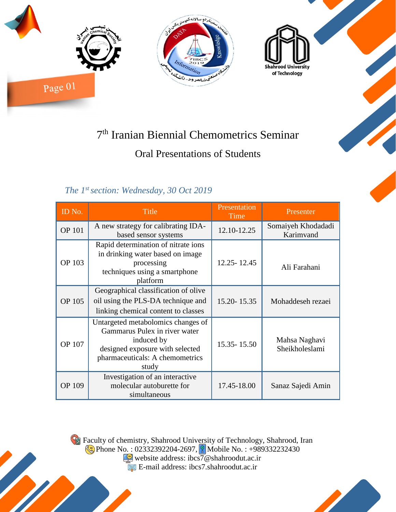

## 7 th Iranian Biennial Chemometrics Seminar

## Oral Presentations of Students

## *The 1st section: Wednesday, 30 Oct 2019*

| ID No.        | <b>Title</b>                                                                                                                                                     | Presentation<br>Time | Presenter                       |
|---------------|------------------------------------------------------------------------------------------------------------------------------------------------------------------|----------------------|---------------------------------|
| <b>OP 101</b> | A new strategy for calibrating IDA-<br>based sensor systems                                                                                                      | 12.10-12.25          | Somaiyeh Khodadadi<br>Karimvand |
| <b>OP 103</b> | Rapid determination of nitrate ions<br>in drinking water based on image<br>processing<br>techniques using a smartphone<br>platform                               | 12.25 - 12.45        | Ali Farahani                    |
| <b>OP 105</b> | Geographical classification of olive<br>oil using the PLS-DA technique and<br>linking chemical content to classes                                                | 15.20 - 15.35        | Mohaddeseh rezaei               |
| <b>OP 107</b> | Untargeted metabolomics changes of<br>Gammarus Pulex in river water<br>induced by<br>designed exposure with selected<br>pharmaceuticals: A chemometrics<br>study | 15.35 - 15.50        | Mahsa Naghavi<br>Sheikholeslami |
| <b>OP 109</b> | Investigation of an interactive<br>molecular autoburette for<br>simultaneous                                                                                     | 17.45-18.00          | Sanaz Sajedi Amin               |

Faculty of chemistry, Shahrood University of Technology, Shahrood, Iran Phone No. : 02332392204-2697, **Mobile No. : +989332232430** website address: ibcs7@shahroodut.ac.ir

E-mail address: ibcs7.shahroodut.ac.ir